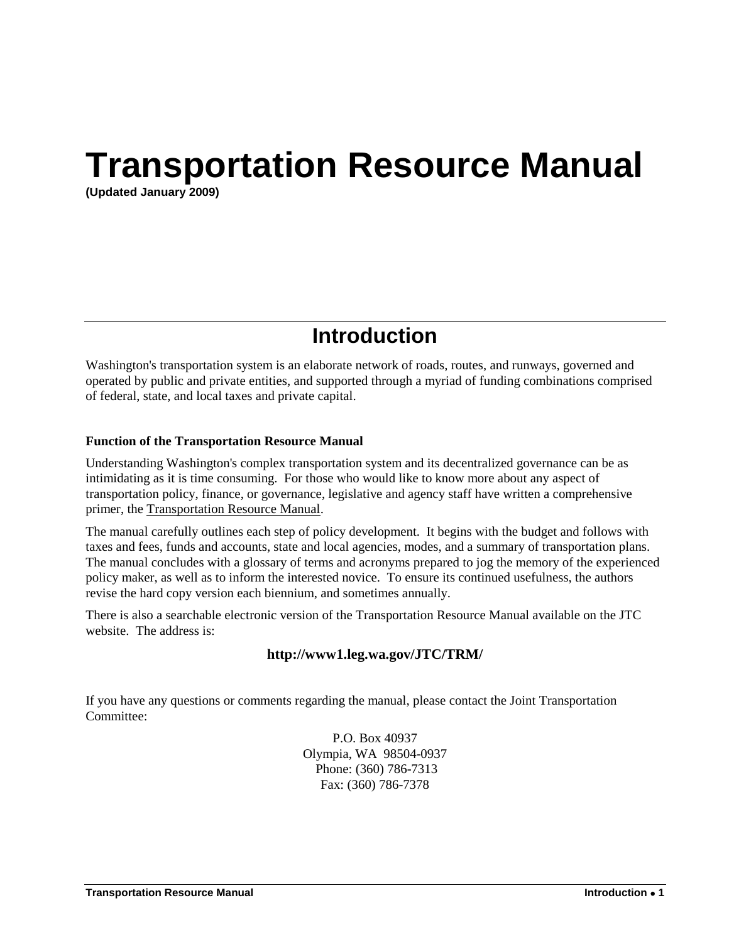# **Transportation Resource Manual**

**(Updated January 2009)**

# **Introduction**

Washington's transportation system is an elaborate network of roads, routes, and runways, governed and operated by public and private entities, and supported through a myriad of funding combinations comprised of federal, state, and local taxes and private capital.

#### **Function of the Transportation Resource Manual**

Understanding Washington's complex transportation system and its decentralized governance can be as intimidating as it is time consuming. For those who would like to know more about any aspect of transportation policy, finance, or governance, legislative and agency staff have written a comprehensive primer, the Transportation Resource Manual.

The manual carefully outlines each step of policy development. It begins with the budget and follows with taxes and fees, funds and accounts, state and local agencies, modes, and a summary of transportation plans. The manual concludes with a glossary of terms and acronyms prepared to jog the memory of the experienced policy maker, as well as to inform the interested novice. To ensure its continued usefulness, the authors revise the hard copy version each biennium, and sometimes annually.

There is also a searchable electronic version of the Transportation Resource Manual available on the JTC website. The address is:

## **http://www1.leg.wa.gov/JTC/TRM/**

If you have any questions or comments regarding the manual, please contact the Joint Transportation Committee:

> P.O. Box 40937 Olympia, WA 98504-0937 Phone: (360) 786-7313 Fax: (360) 786-7378